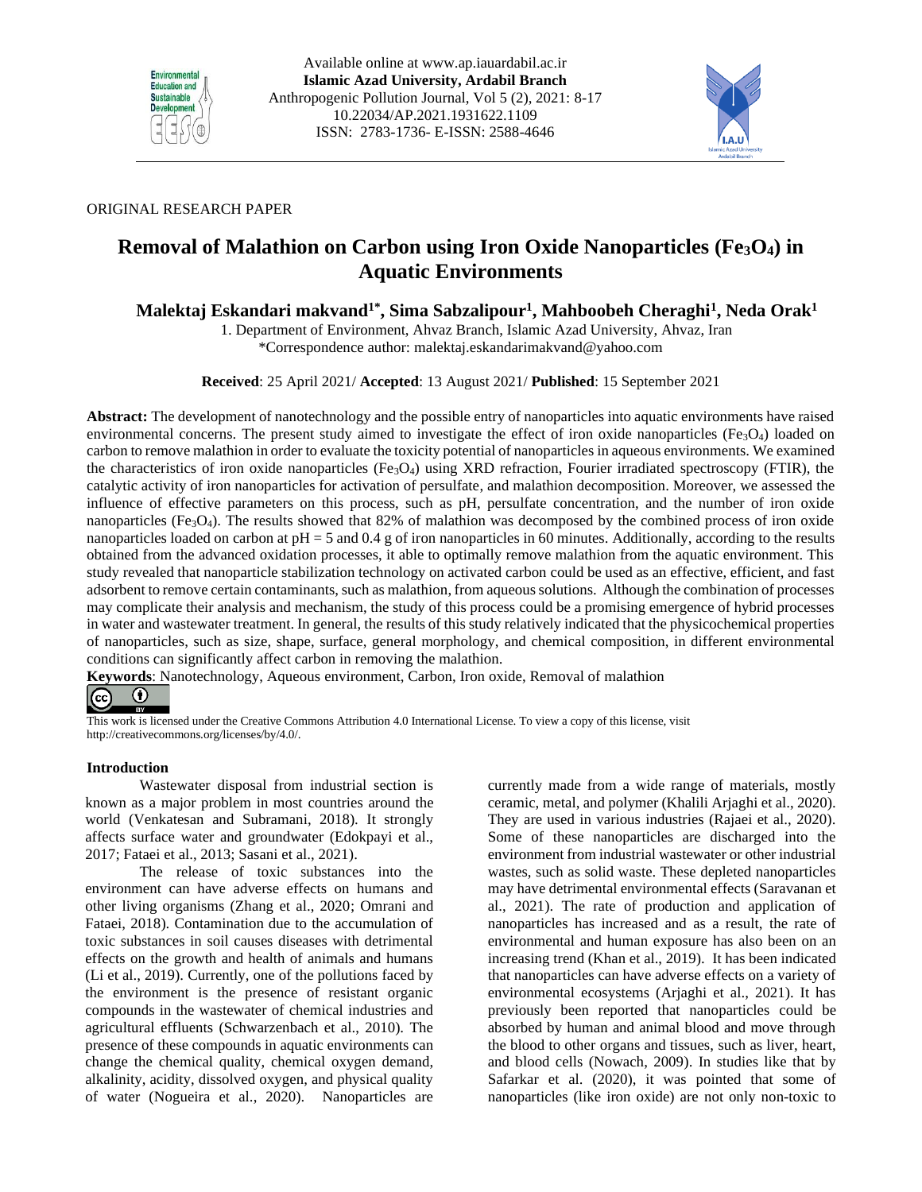



# ORIGINAL RESEARCH PAPER

# **Removal of Malathion on Carbon using Iron Oxide Nanoparticles (Fe3O4) in Aquatic Environments**

# **Malektaj Eskandari makvand1\* , Sima Sabzalipour<sup>1</sup> , Mahboobeh Cheraghi<sup>1</sup> , Neda Orak<sup>1</sup>**

1. Department of Environment, Ahvaz Branch, Islamic Azad University, Ahvaz, Iran \*Correspondence author: malektaj.eskandarimakvand@yahoo.com

**Received**: 25 April 2021/ **Accepted**: 13 August 2021/ **Published**: 15 September 2021

**Abstract:** The development of nanotechnology and the possible entry of nanoparticles into aquatic environments have raised environmental concerns. The present study aimed to investigate the effect of iron oxide nanoparticles (Fe $_3$ O<sub>4</sub>) loaded on carbon to remove malathion in order to evaluate the toxicity potential of nanoparticles in aqueous environments. We examined the characteristics of iron oxide nanoparticles (Fe<sub>3</sub>O<sub>4</sub>) using XRD refraction, Fourier irradiated spectroscopy (FTIR), the catalytic activity of iron nanoparticles for activation of persulfate, and malathion decomposition. Moreover, we assessed the influence of effective parameters on this process, such as pH, persulfate concentration, and the number of iron oxide nanoparticles (Fe<sub>3</sub>O<sub>4</sub>). The results showed that 82% of malathion was decomposed by the combined process of iron oxide nanoparticles loaded on carbon at  $pH = 5$  and 0.4 g of iron nanoparticles in 60 minutes. Additionally, according to the results obtained from the advanced oxidation processes, it able to optimally remove malathion from the aquatic environment. This study revealed that nanoparticle stabilization technology on activated carbon could be used as an effective, efficient, and fast adsorbent to remove certain contaminants, such as malathion, from aqueous solutions. Although the combination of processes may complicate their analysis and mechanism, the study of this process could be a promising emergence of hybrid processes in water and wastewater treatment. In general, the results of this study relatively indicated that the physicochemical properties of nanoparticles, such as size, shape, surface, general morphology, and chemical composition, in different environmental conditions can significantly affect carbon in removing the malathion.

**Keywords**: Nanotechnology, Aqueous environment, Carbon, Iron oxide, Removal of malathion



This work is licensed under the Creative Commons Attribution 4.0 International License. To view a copy of this license, visit http://creativecommons.org/licenses/by/4.0/.

# **Introduction**

Wastewater disposal from industrial section is known as a major problem in most countries around the world (Venkatesan and Subramani, 2018). It strongly affects surface water and groundwater (Edokpayi et al., 2017; Fataei et al., 2013; Sasani et al., 2021).

The release of toxic substances into the environment can have adverse effects on humans and other living organisms (Zhang et al., 2020; Omrani and Fataei, 2018). Contamination due to the accumulation of toxic substances in soil causes diseases with detrimental effects on the growth and health of animals and humans (Li et al., 2019). Currently, one of the pollutions faced by the environment is the presence of resistant organic compounds in the wastewater of chemical industries and agricultural effluents (Schwarzenbach et al., 2010). The presence of these compounds in aquatic environments can change the chemical quality, chemical oxygen demand, alkalinity, acidity, dissolved oxygen, and physical quality of water (Nogueira et al., 2020). Nanoparticles are currently made from a wide range of materials, mostly ceramic, metal, and polymer (Khalili Arjaghi et al., 2020). They are used in various industries (Rajaei et al., 2020). Some of these nanoparticles are discharged into the environment from industrial wastewater or other industrial wastes, such as solid waste. These depleted nanoparticles may have detrimental environmental effects (Saravanan et al., 2021). The rate of production and application of nanoparticles has increased and as a result, the rate of environmental and human exposure has also been on an increasing trend (Khan et al., 2019). It has been indicated that nanoparticles can have adverse effects on a variety of environmental ecosystems (Arjaghi et al., 2021). It has previously been reported that nanoparticles could be absorbed by human and animal blood and move through the blood to other organs and tissues, such as liver, heart, and blood cells (Nowach, 2009). In studies like that by Safarkar et al. (2020), it was pointed that some of nanoparticles (like iron oxide) are not only non-toxic to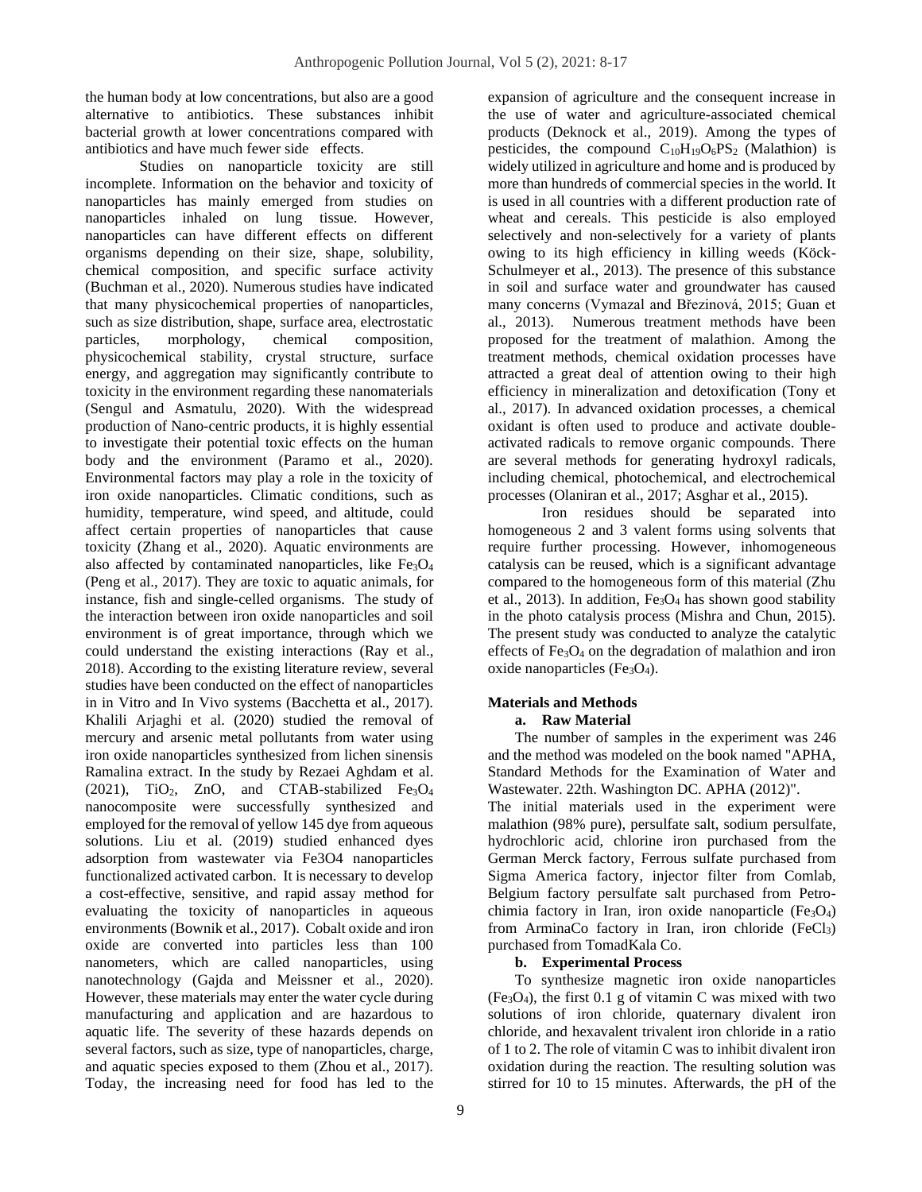the human body at low concentrations, but also are a good alternative to antibiotics. These substances inhibit bacterial growth at lower concentrations compared with antibiotics and have much fewer side effects.

Studies on nanoparticle toxicity are still incomplete. Information on the behavior and toxicity of nanoparticles has mainly emerged from studies on nanoparticles inhaled on lung tissue. However, nanoparticles can have different effects on different organisms depending on their size, shape, solubility, chemical composition, and specific surface activity (Buchman et al., 2020). Numerous studies have indicated that many physicochemical properties of nanoparticles, such as size distribution, shape, surface area, electrostatic particles, morphology, chemical composition, physicochemical stability, crystal structure, surface energy, and aggregation may significantly contribute to toxicity in the environment regarding these nanomaterials (Sengul and Asmatulu, 2020). With the widespread production of Nano-centric products, it is highly essential to investigate their potential toxic effects on the human body and the environment (Paramo et al., 2020). Environmental factors may play a role in the toxicity of iron oxide nanoparticles. Climatic conditions, such as humidity, temperature, wind speed, and altitude, could affect certain properties of nanoparticles that cause toxicity (Zhang et al., 2020). Aquatic environments are also affected by contaminated nanoparticles, like  $Fe<sub>3</sub>O<sub>4</sub>$ (Peng et al., 2017). They are toxic to aquatic animals, for instance, fish and single-celled organisms. The study of the interaction between iron oxide nanoparticles and soil environment is of great importance, through which we could understand the existing interactions (Ray et al., 2018). According to the existing literature review, several studies have been conducted on the effect of nanoparticles in in Vitro and In Vivo systems (Bacchetta et al., 2017). Khalili Arjaghi et al. (2020) studied the removal of mercury and arsenic metal pollutants from water using iron oxide nanoparticles synthesized from lichen sinensis Ramalina extract. In the study by Rezaei Aghdam et al.  $(2021)$ , TiO<sub>2</sub>, ZnO, and CTAB-stabilized Fe<sub>3</sub>O<sub>4</sub> nanocomposite were successfully synthesized and employed for the removal of yellow 145 dye from aqueous solutions. Liu et al. (2019) studied enhanced dyes adsorption from wastewater via Fe3O4 nanoparticles functionalized activated carbon. It is necessary to develop a cost-effective, sensitive, and rapid assay method for evaluating the toxicity of nanoparticles in aqueous environments (Bownik et al., 2017). Cobalt oxide and iron oxide are converted into particles less than 100 nanometers, which are called nanoparticles, using nanotechnology (Gajda and Meissner et al., 2020). However, these materials may enter the water cycle during manufacturing and application and are hazardous to aquatic life. The severity of these hazards depends on several factors, such as size, type of nanoparticles, charge, and aquatic species exposed to them (Zhou et al., 2017). Today, the increasing need for food has led to the

expansion of agriculture and the consequent increase in the use of water and agriculture-associated chemical products (Deknock et al., 2019). Among the types of pesticides, the compound  $C_{10}H_{19}O_6PS_2$  (Malathion) is widely utilized in agriculture and home and is produced by more than hundreds of commercial species in the world. It is used in all countries with a different production rate of wheat and cereals. This pesticide is also employed selectively and non-selectively for a variety of plants owing to its high efficiency in killing weeds (Köck-Schulmeyer et al., 2013). The presence of this substance in soil and surface water and groundwater has caused many concerns (Vymazal and Březinová, 2015; Guan et al., 2013). Numerous treatment methods have been proposed for the treatment of malathion. Among the treatment methods, chemical oxidation processes have attracted a great deal of attention owing to their high efficiency in mineralization and detoxification (Tony et al., 2017). In advanced oxidation processes, a chemical oxidant is often used to produce and activate doubleactivated radicals to remove organic compounds. There are several methods for generating hydroxyl radicals, including chemical, photochemical, and electrochemical processes (Olaniran et al., 2017; Asghar et al., 2015).

Iron residues should be separated into homogeneous 2 and 3 valent forms using solvents that require further processing. However, inhomogeneous catalysis can be reused, which is a significant advantage compared to the homogeneous form of this material (Zhu et al., 2013). In addition,  $Fe<sub>3</sub>O<sub>4</sub>$  has shown good stability in the photo catalysis process (Mishra and Chun, 2015). The present study was conducted to analyze the catalytic effects of  $Fe<sub>3</sub>O<sub>4</sub>$  on the degradation of malathion and iron oxide nanoparticles ( $Fe<sub>3</sub>O<sub>4</sub>$ ).

## **Materials and Methods a. Raw Material**

The number of samples in the experiment was 246 and the method was modeled on the book named "APHA, Standard Methods for the Examination of Water and Wastewater. 22th. Washington DC. APHA (2012)".

The initial materials used in the experiment were malathion (98% pure), persulfate salt, sodium persulfate, hydrochloric acid, chlorine iron purchased from the German Merck factory, Ferrous sulfate purchased from Sigma America factory, injector filter from Comlab, Belgium factory persulfate salt purchased from Petrochimia factory in Iran, iron oxide nanoparticle  $(Fe<sub>3</sub>O<sub>4</sub>)$ from ArminaCo factory in Iran, iron chloride  $(FeCl<sub>3</sub>)$ purchased from TomadKala Co.

# **b. Experimental Process**

To synthesize magnetic iron oxide nanoparticles  $(Fe_3O_4)$ , the first 0.1 g of vitamin C was mixed with two solutions of iron chloride, quaternary divalent iron chloride, and hexavalent trivalent iron chloride in a ratio of 1 to 2. The role of vitamin C was to inhibit divalent iron oxidation during the reaction. The resulting solution was stirred for 10 to 15 minutes. Afterwards, the pH of the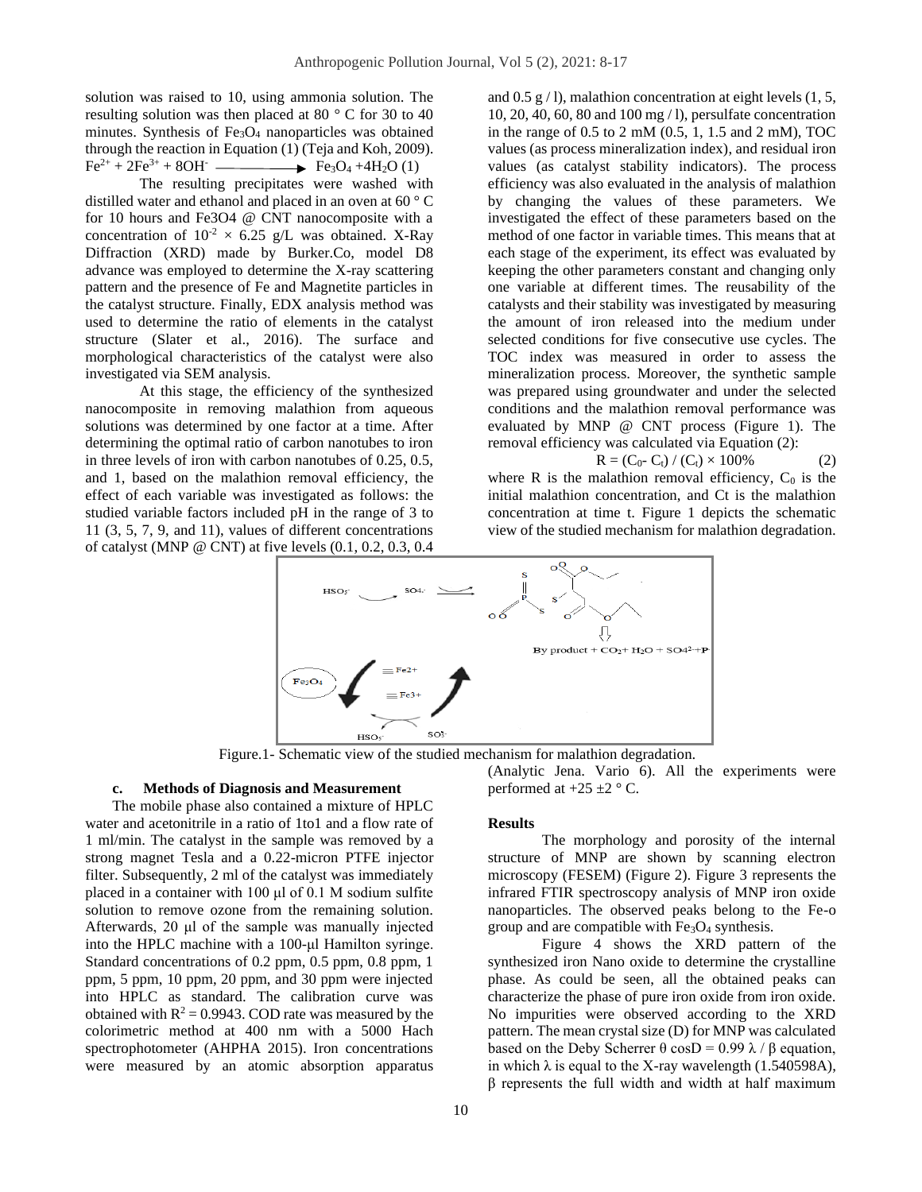solution was raised to 10, using ammonia solution. The resulting solution was then placed at 80 ° C for 30 to 40 minutes. Synthesis of  $Fe<sub>3</sub>O<sub>4</sub>$  nanoparticles was obtained through the reaction in Equation (1) (Teja and Koh, 2009).  $Fe^{2+} + 2Fe^{3+} + 8OH$   $\longrightarrow$   $Fe_3O_4 + 4H_2O(1)$ 

The resulting precipitates were washed with distilled water and ethanol and placed in an oven at 60 ° C for 10 hours and Fe3O4 @ CNT nanocomposite with a concentration of  $10^{-2} \times 6.25$  g/L was obtained. X-Ray Diffraction (XRD) made by Burker.Co, model D8 advance was employed to determine the X-ray scattering pattern and the presence of Fe and Magnetite particles in the catalyst structure. Finally, EDX analysis method was used to determine the ratio of elements in the catalyst structure (Slater et al., 2016). The surface and morphological characteristics of the catalyst were also investigated via SEM analysis.

At this stage, the efficiency of the synthesized nanocomposite in removing malathion from aqueous solutions was determined by one factor at a time. After determining the optimal ratio of carbon nanotubes to iron in three levels of iron with carbon nanotubes of 0.25, 0.5, and 1, based on the malathion removal efficiency, the effect of each variable was investigated as follows: the studied variable factors included pH in the range of 3 to 11 (3, 5, 7, 9, and 11), values of different concentrations of catalyst (MNP @ CNT) at five levels (0.1, 0.2, 0.3, 0.4

and  $0.5$  g  $/$  l), malathion concentration at eight levels  $(1, 5, 5)$ 10, 20, 40, 60, 80 and 100 mg / l), persulfate concentration in the range of 0.5 to 2 mM (0.5, 1, 1.5 and 2 mM), TOC values (as process mineralization index), and residual iron values (as catalyst stability indicators). The process efficiency was also evaluated in the analysis of malathion by changing the values of these parameters. We investigated the effect of these parameters based on the method of one factor in variable times. This means that at each stage of the experiment, its effect was evaluated by keeping the other parameters constant and changing only one variable at different times. The reusability of the catalysts and their stability was investigated by measuring the amount of iron released into the medium under selected conditions for five consecutive use cycles. The TOC index was measured in order to assess the mineralization process. Moreover, the synthetic sample was prepared using groundwater and under the selected conditions and the malathion removal performance was evaluated by MNP @ CNT process (Figure 1). The removal efficiency was calculated via Equation (2):

$$
R = (C_0 - C_t) / (C_t) \times 100\%
$$
 (2)

where R is the malathion removal efficiency,  $C_0$  is the initial malathion concentration, and Ct is the malathion concentration at time t. Figure 1 depicts the schematic view of the studied mechanism for malathion degradation.



Figure.1- Schematic view of the studied mechanism for malathion degradation.

#### **c. Methods of Diagnosis and Measurement**

The mobile phase also contained a mixture of HPLC water and acetonitrile in a ratio of 1to1 and a flow rate of 1 ml/min. The catalyst in the sample was removed by a strong magnet Tesla and a 0.22-micron PTFE injector filter. Subsequently, 2 ml of the catalyst was immediately placed in a container with 100 μl of 0.1 M sodium sulfite solution to remove ozone from the remaining solution. Afterwards, 20 μl of the sample was manually injected into the HPLC machine with a 100-μl Hamilton syringe. Standard concentrations of 0.2 ppm, 0.5 ppm, 0.8 ppm, 1 ppm, 5 ppm, 10 ppm, 20 ppm, and 30 ppm were injected into HPLC as standard. The calibration curve was obtained with  $R^2 = 0.9943$ . COD rate was measured by the colorimetric method at 400 nm with a 5000 Hach spectrophotometer (AHPHA 2015). Iron concentrations were measured by an atomic absorption apparatus (Analytic Jena. Vario 6). All the experiments were performed at  $+25 \pm 2$  ° C.

#### **Results**

The morphology and porosity of the internal structure of MNP are shown by scanning electron microscopy (FESEM) (Figure 2). Figure 3 represents the infrared FTIR spectroscopy analysis of MNP iron oxide nanoparticles. The observed peaks belong to the Fe-o group and are compatible with Fe<sub>3</sub>O<sub>4</sub> synthesis.

Figure 4 shows the XRD pattern of the synthesized iron Nano oxide to determine the crystalline phase. As could be seen, all the obtained peaks can characterize the phase of pure iron oxide from iron oxide. No impurities were observed according to the XRD pattern. The mean crystal size (D) for MNP was calculated based on the Deby Scherrer  $\theta$  cosD = 0.99  $\lambda$  /  $\beta$  equation, in which  $\lambda$  is equal to the X-ray wavelength (1.540598A), β represents the full width and width at half maximum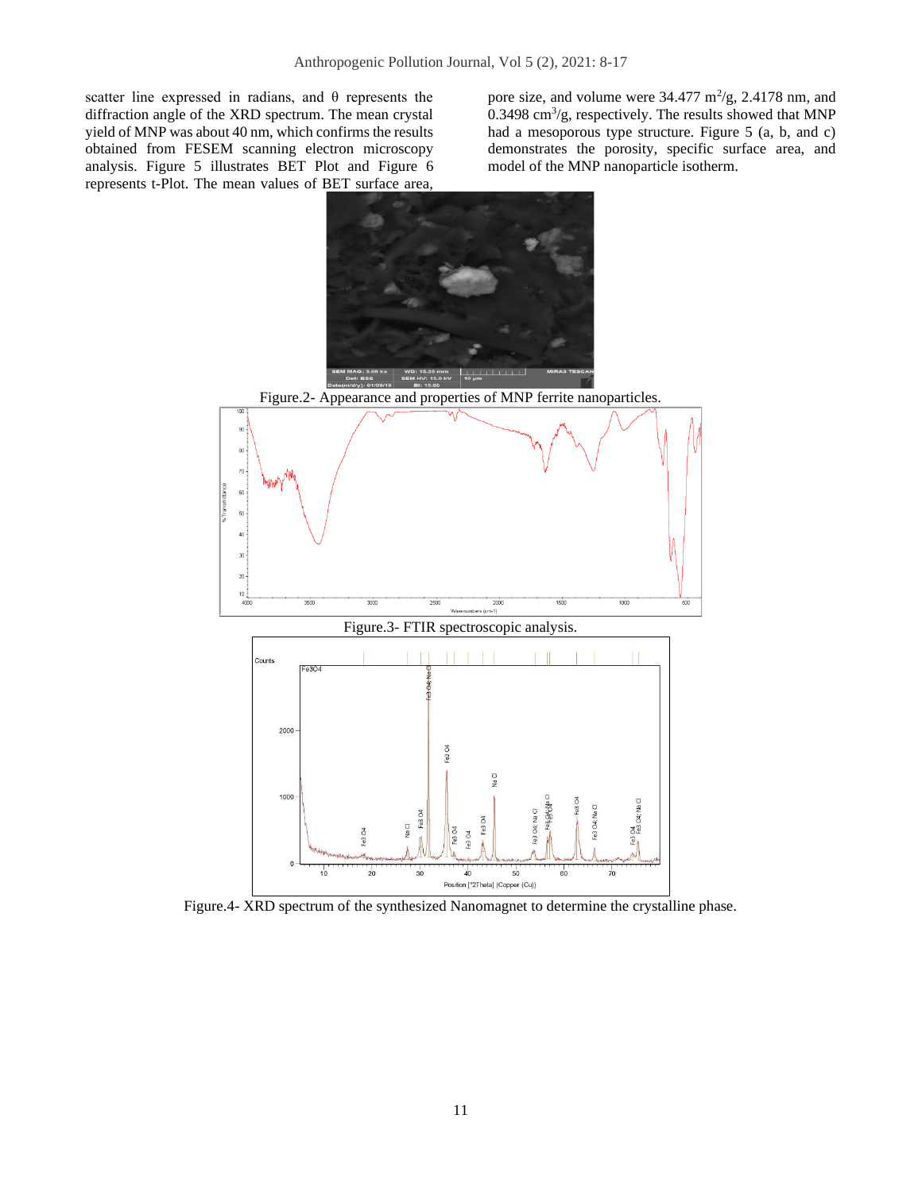scatter line expressed in radians, and θ represents the diffraction angle of the XRD spectrum. The mean crystal yield of MNP was about 40 nm, which confirms the results obtained from FESEM scanning electron microscopy analysis. Figure 5 illustrates BET Plot and Figure 6 represents t-Plot. The mean values of BET surface area,

pore size, and volume were  $34.477 \text{ m}^2/\text{g}$ ,  $2.4178 \text{ nm}$ , and  $0.3498 \text{ cm}^3\text{/g}$ , respectively. The results showed that MNP had a mesoporous type structure. Figure 5 (a, b, and c) demonstrates the porosity, specific surface area, and model of the MNP nanoparticle isotherm.



Figure.4- XRD spectrum of the synthesized Nanomagnet to determine the crystalline phase.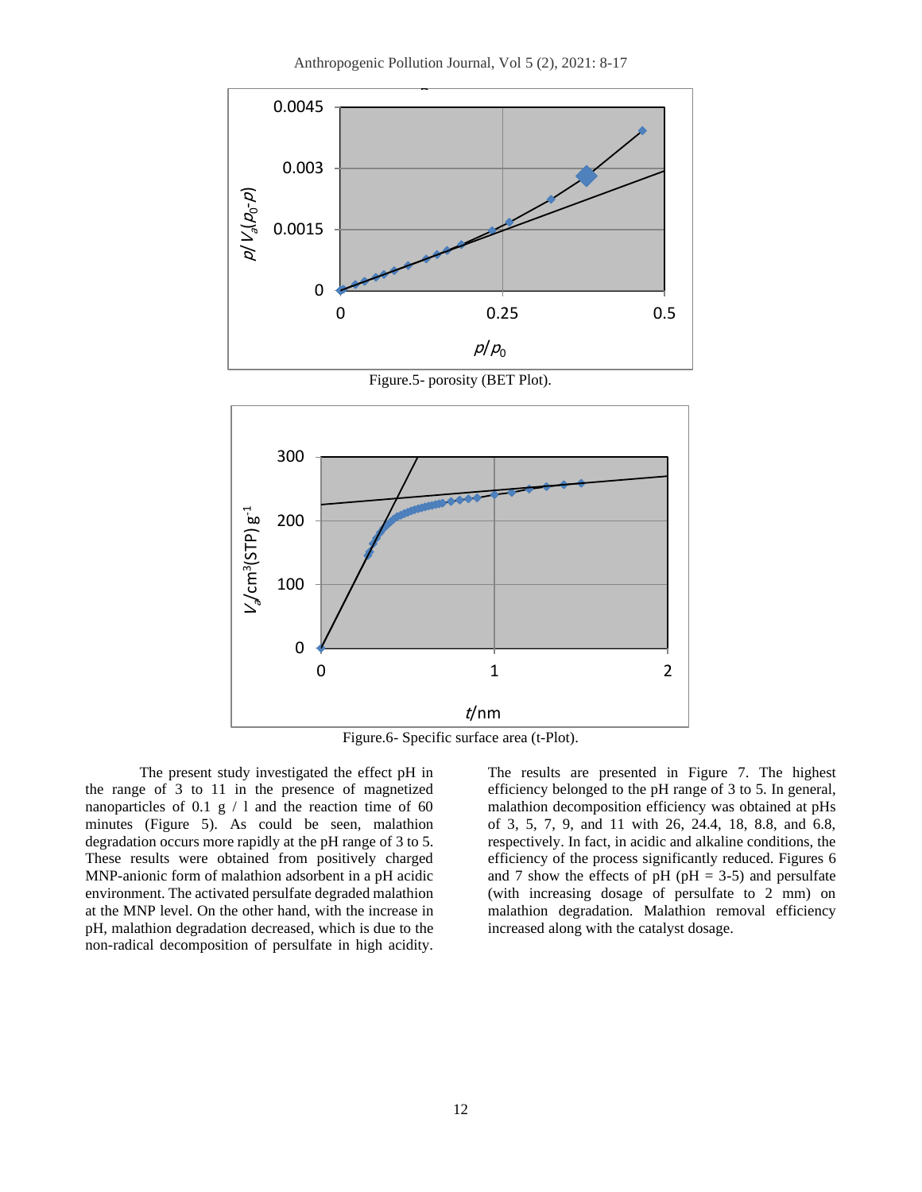

Figure.5- porosity (BET Plot).



Figure.6- Specific surface area (t-Plot).

The present study investigated the effect pH in the range of 3 to 11 in the presence of magnetized nanoparticles of 0.1  $g / 1$  and the reaction time of 60 minutes (Figure 5). As could be seen, malathion degradation occurs more rapidly at the pH range of 3 to 5. These results were obtained from positively charged MNP-anionic form of malathion adsorbent in a pH acidic environment. The activated persulfate degraded malathion at the MNP level. On the other hand, with the increase in pH, malathion degradation decreased, which is due to the non-radical decomposition of persulfate in high acidity.

The results are presented in Figure 7. The highest efficiency belonged to the pH range of 3 to 5. In general, malathion decomposition efficiency was obtained at pHs of 3, 5, 7, 9, and 11 with 26, 24.4, 18, 8.8, and 6.8, respectively. In fact, in acidic and alkaline conditions, the efficiency of the process significantly reduced. Figures 6 and 7 show the effects of pH ( $pH = 3-5$ ) and persulfate (with increasing dosage of persulfate to 2 mm) on malathion degradation. Malathion removal efficiency increased along with the catalyst dosage.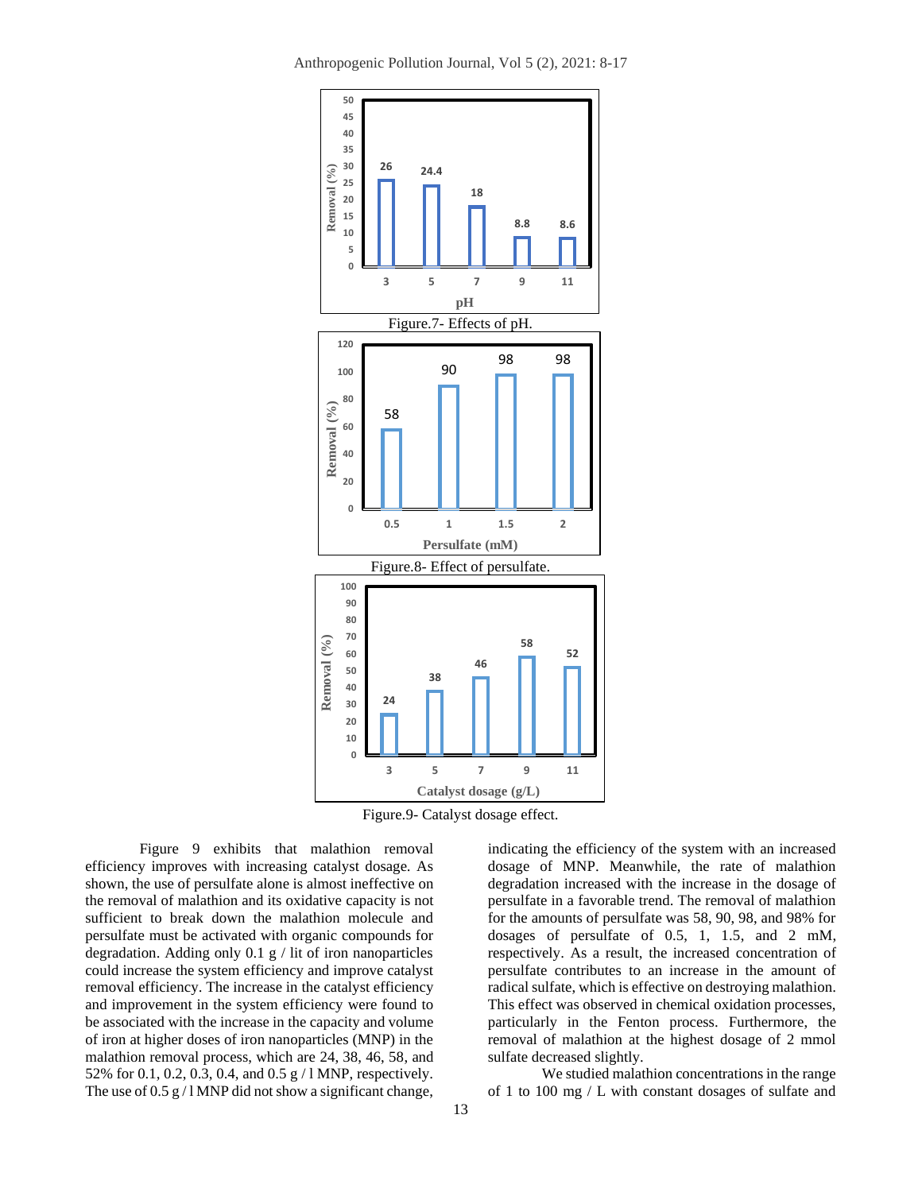Anthropogenic Pollution Journal, Vol 5 (2), 2021: 8-17



Figure.9- Catalyst dosage effect.

Figure 9 exhibits that malathion removal efficiency improves with increasing catalyst dosage. As shown, the use of persulfate alone is almost ineffective on the removal of malathion and its oxidative capacity is not sufficient to break down the malathion molecule and persulfate must be activated with organic compounds for degradation. Adding only  $0.1 \text{ g}$  / lit of iron nanoparticles could increase the system efficiency and improve catalyst removal efficiency. The increase in the catalyst efficiency and improvement in the system efficiency were found to be associated with the increase in the capacity and volume of iron at higher doses of iron nanoparticles (MNP) in the malathion removal process, which are 24, 38, 46, 58, and 52% for 0.1, 0.2, 0.3, 0.4, and 0.5 g / l MNP, respectively. The use of  $0.5 g / 1$  MNP did not show a significant change,

indicating the efficiency of the system with an increased dosage of MNP. Meanwhile, the rate of malathion degradation increased with the increase in the dosage of persulfate in a favorable trend. The removal of malathion for the amounts of persulfate was 58, 90, 98, and 98% for dosages of persulfate of 0.5, 1, 1.5, and 2 mM, respectively. As a result, the increased concentration of persulfate contributes to an increase in the amount of radical sulfate, which is effective on destroying malathion. This effect was observed in chemical oxidation processes, particularly in the Fenton process. Furthermore, the removal of malathion at the highest dosage of 2 mmol sulfate decreased slightly.

We studied malathion concentrations in the range of 1 to 100 mg / L with constant dosages of sulfate and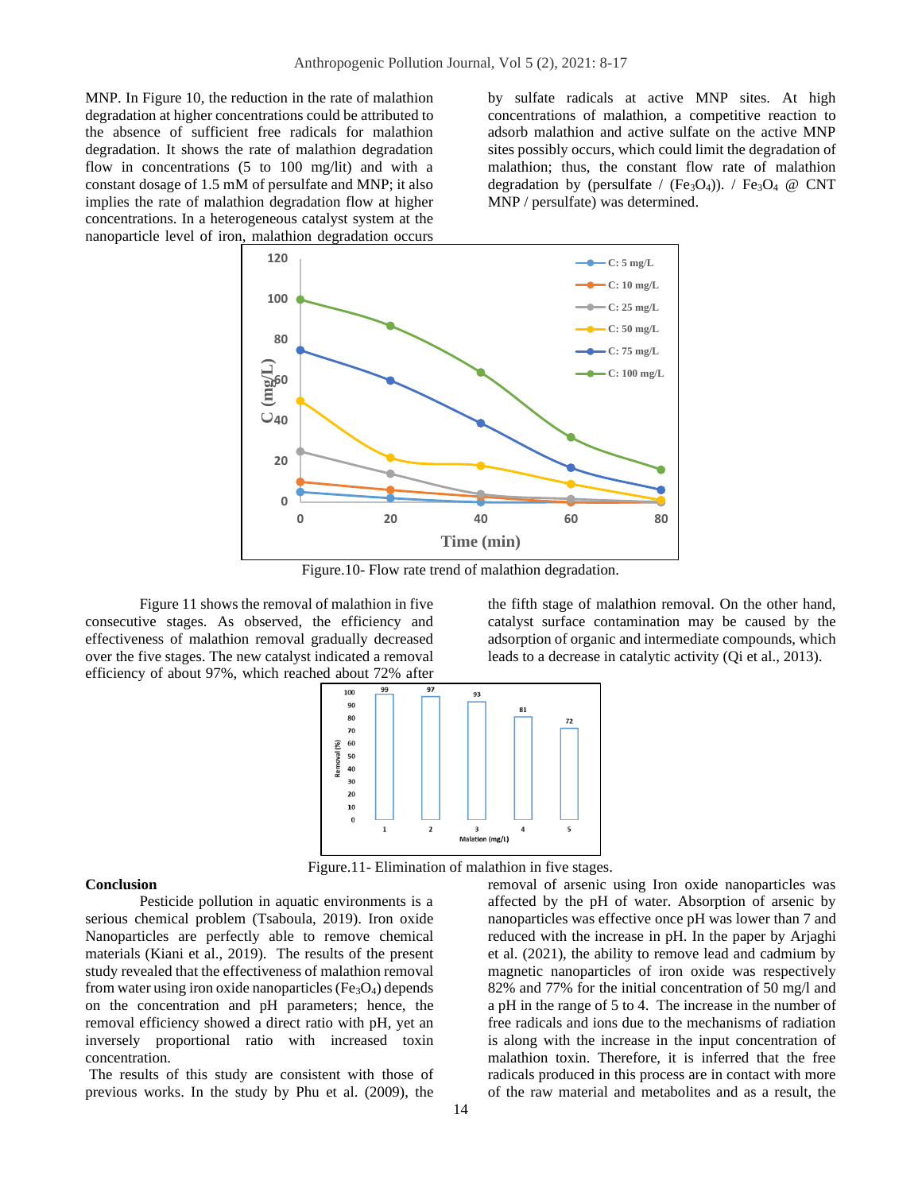MNP. In Figure 10, the reduction in the rate of malathion degradation at higher concentrations could be attributed to the absence of sufficient free radicals for malathion degradation. It shows the rate of malathion degradation flow in concentrations (5 to 100 mg/lit) and with a constant dosage of 1.5 mM of persulfate and MNP; it also implies the rate of malathion degradation flow at higher concentrations. In a heterogeneous catalyst system at the nanoparticle level of iron, malathion degradation occurs by sulfate radicals at active MNP sites. At high concentrations of malathion, a competitive reaction to adsorb malathion and active sulfate on the active MNP sites possibly occurs, which could limit the degradation of malathion; thus, the constant flow rate of malathion degradation by (persulfate / (Fe<sub>3</sub>O<sub>4</sub>)). / Fe<sub>3</sub>O<sub>4</sub> @ CNT MNP / persulfate) was determined.



Figure.10- Flow rate trend of malathion degradation.

Figure 11 shows the removal of malathion in five consecutive stages. As observed, the efficiency and effectiveness of malathion removal gradually decreased over the five stages. The new catalyst indicated a removal efficiency of about 97%, which reached about 72% after the fifth stage of malathion removal. On the other hand, catalyst surface contamination may be caused by the adsorption of organic and intermediate compounds, which leads to a decrease in catalytic activity (Qi et al., 2013).



Figure.11- Elimination of malathion in five stages.

#### **Conclusion**

Pesticide pollution in aquatic environments is a serious chemical problem (Tsaboula, 2019). Iron oxide Nanoparticles are perfectly able to remove chemical materials (Kiani et al., 2019). The results of the present study revealed that the effectiveness of malathion removal from water using iron oxide nanoparticles ( $Fe<sub>3</sub>O<sub>4</sub>$ ) depends on the concentration and pH parameters; hence, the removal efficiency showed a direct ratio with pH, yet an inversely proportional ratio with increased toxin concentration.

The results of this study are consistent with those of previous works. In the study by Phu et al. (2009), the removal of arsenic using Iron oxide nanoparticles was affected by the pH of water. Absorption of arsenic by nanoparticles was effective once pH was lower than 7 and reduced with the increase in pH. In the paper by Arjaghi et al. (2021), the ability to remove lead and cadmium by magnetic nanoparticles of iron oxide was respectively 82% and 77% for the initial concentration of 50 mg/l and a pH in the range of 5 to 4. The increase in the number of free radicals and ions due to the mechanisms of radiation is along with the increase in the input concentration of malathion toxin. Therefore, it is inferred that the free radicals produced in this process are in contact with more of the raw material and metabolites and as a result, the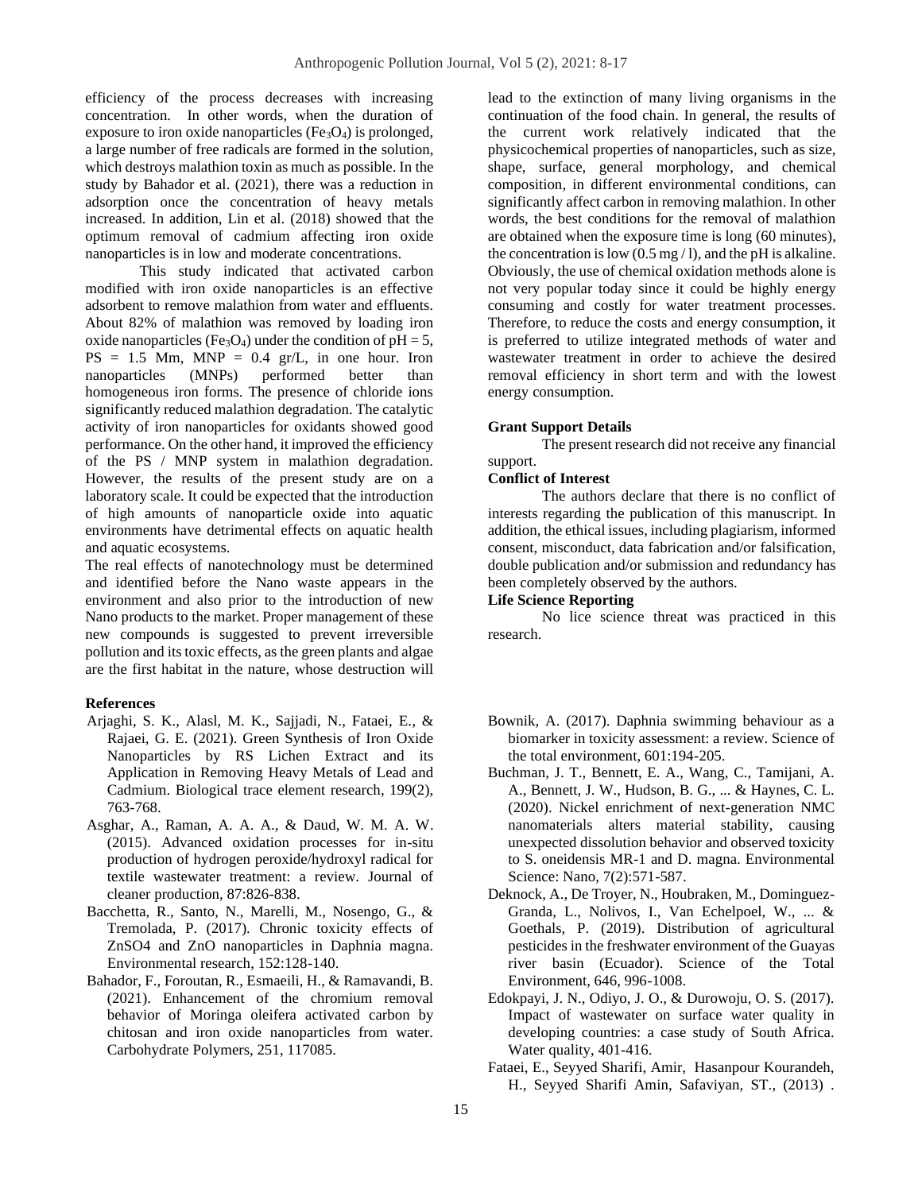efficiency of the process decreases with increasing concentration. In other words, when the duration of exposure to iron oxide nanoparticles ( $Fe<sub>3</sub>O<sub>4</sub>$ ) is prolonged, a large number of free radicals are formed in the solution, which destroys malathion toxin as much as possible. In the study by Bahador et al. (2021), there was a reduction in adsorption once the concentration of heavy metals increased. In addition, Lin et al. (2018) showed that the optimum removal of cadmium affecting iron oxide nanoparticles is in low and moderate concentrations.

This study indicated that activated carbon modified with iron oxide nanoparticles is an effective adsorbent to remove malathion from water and effluents. About 82% of malathion was removed by loading iron oxide nanoparticles (Fe<sub>3</sub>O<sub>4</sub>) under the condition of  $pH = 5$ ,  $PS = 1.5$  Mm, MNP = 0.4 gr/L, in one hour. Iron nanoparticles (MNPs) performed better than homogeneous iron forms. The presence of chloride ions significantly reduced malathion degradation. The catalytic activity of iron nanoparticles for oxidants showed good performance. On the other hand, it improved the efficiency of the PS / MNP system in malathion degradation. However, the results of the present study are on a laboratory scale. It could be expected that the introduction of high amounts of nanoparticle oxide into aquatic environments have detrimental effects on aquatic health and aquatic ecosystems.

The real effects of nanotechnology must be determined and identified before the Nano waste appears in the environment and also prior to the introduction of new Nano products to the market. Proper management of these new compounds is suggested to prevent irreversible pollution and its toxic effects, as the green plants and algae are the first habitat in the nature, whose destruction will

#### **References**

- Arjaghi, S. K., Alasl, M. K., Sajjadi, N., Fataei, E., & Rajaei, G. E. (2021). Green Synthesis of Iron Oxide Nanoparticles by RS Lichen Extract and its Application in Removing Heavy Metals of Lead and Cadmium. Biological trace element research, 199(2), 763-768.
- Asghar, A., Raman, A. A. A., & Daud, W. M. A. W. (2015). Advanced oxidation processes for in-situ production of hydrogen peroxide/hydroxyl radical for textile wastewater treatment: a review. Journal of cleaner production, 87:826-838.
- Bacchetta, R., Santo, N., Marelli, M., Nosengo, G., & Tremolada, P. (2017). Chronic toxicity effects of ZnSO4 and ZnO nanoparticles in Daphnia magna. Environmental research, 152:128-140.
- Bahador, F., Foroutan, R., Esmaeili, H., & Ramavandi, B. (2021). Enhancement of the chromium removal behavior of Moringa oleifera activated carbon by chitosan and iron oxide nanoparticles from water. Carbohydrate Polymers, 251, 117085.

lead to the extinction of many living organisms in the continuation of the food chain. In general, the results of the current work relatively indicated that the physicochemical properties of nanoparticles, such as size, shape, surface, general morphology, and chemical composition, in different environmental conditions, can significantly affect carbon in removing malathion. In other words, the best conditions for the removal of malathion are obtained when the exposure time is long (60 minutes), the concentration is low  $(0.5 \text{ mg}/1)$ , and the pH is alkaline. Obviously, the use of chemical oxidation methods alone is not very popular today since it could be highly energy consuming and costly for water treatment processes. Therefore, to reduce the costs and energy consumption, it is preferred to utilize integrated methods of water and wastewater treatment in order to achieve the desired removal efficiency in short term and with the lowest energy consumption.

## **Grant Support Details**

The present research did not receive any financial support.

#### **Conflict of Interest**

The authors declare that there is no conflict of interests regarding the publication of this manuscript. In addition, the ethical issues, including plagiarism, informed consent, misconduct, data fabrication and/or falsification, double publication and/or submission and redundancy has been completely observed by the authors.

#### **Life Science Reporting**

No lice science threat was practiced in this research.

- Bownik, A. (2017). Daphnia swimming behaviour as a biomarker in toxicity assessment: a review. Science of the total environment, 601:194-205.
- Buchman, J. T., Bennett, E. A., Wang, C., Tamijani, A. A., Bennett, J. W., Hudson, B. G., ... & Haynes, C. L. (2020). Nickel enrichment of next-generation NMC nanomaterials alters material stability, causing unexpected dissolution behavior and observed toxicity to S. oneidensis MR-1 and D. magna. Environmental Science: Nano, 7(2):571-587.
- Deknock, A., De Troyer, N., Houbraken, M., Dominguez-Granda, L., Nolivos, I., Van Echelpoel, W., ... & Goethals, P. (2019). Distribution of agricultural pesticides in the freshwater environment of the Guayas river basin (Ecuador). Science of the Total Environment, 646, 996-1008.
- Edokpayi, J. N., Odiyo, J. O., & Durowoju, O. S. (2017). Impact of wastewater on surface water quality in developing countries: a case study of South Africa. Water quality, 401-416.
- Fataei, E., Seyyed Sharifi, Amir, Hasanpour Kourandeh, H., Seyyed Sharifi Amin, Safaviyan, ST., (2013) .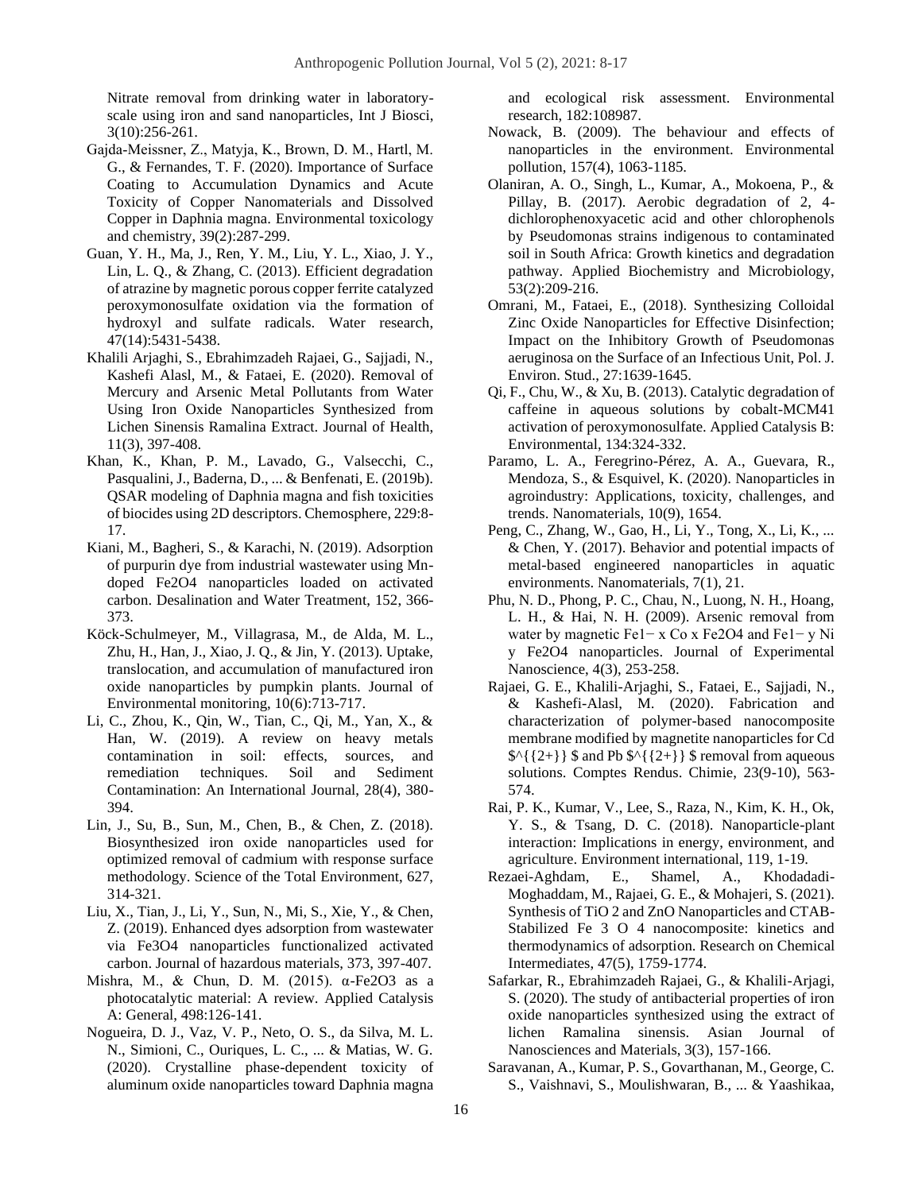[Nitrate removal from drinking water in laboratory](https://scholar.google.com/citations?view_op=view_citation&hl=en&user=Cz7_Lj8AAAAJ&cstart=20&pagesize=80&citation_for_view=Cz7_Lj8AAAAJ:zYLM7Y9cAGgC)[scale using iron and sand nanoparticles,](https://scholar.google.com/citations?view_op=view_citation&hl=en&user=Cz7_Lj8AAAAJ&cstart=20&pagesize=80&citation_for_view=Cz7_Lj8AAAAJ:zYLM7Y9cAGgC) Int J Biosci, 3(10):256-261.

- Gajda‐Meissner, Z., Matyja, K., Brown, D. M., Hartl, M. G., & Fernandes, T. F. (2020). Importance of Surface Coating to Accumulation Dynamics and Acute Toxicity of Copper Nanomaterials and Dissolved Copper in Daphnia magna. Environmental toxicology and chemistry, 39(2):287-299.
- Guan, Y. H., Ma, J., Ren, Y. M., Liu, Y. L., Xiao, J. Y., Lin, L. Q., & Zhang, C. (2013). Efficient degradation of atrazine by magnetic porous copper ferrite catalyzed peroxymonosulfate oxidation via the formation of hydroxyl and sulfate radicals. Water research, 47(14):5431-5438.
- Khalili Arjaghi, S., Ebrahimzadeh Rajaei, G., Sajjadi, N., Kashefi Alasl, M., & Fataei, E. (2020). Removal of Mercury and Arsenic Metal Pollutants from Water Using Iron Oxide Nanoparticles Synthesized from Lichen Sinensis Ramalina Extract. Journal of Health, 11(3), 397-408.
- Khan, K., Khan, P. M., Lavado, G., Valsecchi, C., Pasqualini, J., Baderna, D., ... & Benfenati, E. (2019b). QSAR modeling of Daphnia magna and fish toxicities of biocides using 2D descriptors. Chemosphere, 229:8- 17.
- Kiani, M., Bagheri, S., & Karachi, N. (2019). Adsorption of purpurin dye from industrial wastewater using Mndoped Fe2O4 nanoparticles loaded on activated carbon. Desalination and Water Treatment, 152, 366- 373.
- Köck-Schulmeyer, M., Villagrasa, M., de Alda, M. L., Zhu, H., Han, J., Xiao, J. Q., & Jin, Y. (2013). Uptake, translocation, and accumulation of manufactured iron oxide nanoparticles by pumpkin plants. Journal of Environmental monitoring, 10(6):713-717.
- Li, C., Zhou, K., Qin, W., Tian, C., Qi, M., Yan, X., & Han, W. (2019). A review on heavy metals contamination in soil: effects, sources, and remediation techniques. Soil and Sediment Contamination: An International Journal, 28(4), 380- 394.
- Lin, J., Su, B., Sun, M., Chen, B., & Chen, Z. (2018). Biosynthesized iron oxide nanoparticles used for optimized removal of cadmium with response surface methodology. Science of the Total Environment, 627, 314-321.
- Liu, X., Tian, J., Li, Y., Sun, N., Mi, S., Xie, Y., & Chen, Z. (2019). Enhanced dyes adsorption from wastewater via Fe3O4 nanoparticles functionalized activated carbon. Journal of hazardous materials, 373, 397-407.
- Mishra, M., & Chun, D. M. (2015). α-Fe2O3 as a photocatalytic material: A review. Applied Catalysis A: General, 498:126-141.
- Nogueira, D. J., Vaz, V. P., Neto, O. S., da Silva, M. L. N., Simioni, C., Ouriques, L. C., ... & Matias, W. G. (2020). Crystalline phase-dependent toxicity of aluminum oxide nanoparticles toward Daphnia magna

and ecological risk assessment. Environmental research, 182:108987.

- Nowack, B. (2009). The behaviour and effects of nanoparticles in the environment. Environmental pollution, 157(4), 1063-1185.
- Olaniran, A. O., Singh, L., Kumar, A., Mokoena, P., & Pillay, B. (2017). Aerobic degradation of 2, 4 dichlorophenoxyacetic acid and other chlorophenols by Pseudomonas strains indigenous to contaminated soil in South Africa: Growth kinetics and degradation pathway. Applied Biochemistry and Microbiology, 53(2):209-216.
- Omrani, M., Fataei, E., (2018). Synthesizing Colloidal Zinc Oxide Nanoparticles for Effective Disinfection; Impact on the Inhibitory Growth of Pseudomonas aeruginosa on the Surface of an Infectious Unit, Pol. J. Environ. Stud., 27:1639-1645.
- Qi, F., Chu, W., & Xu, B. (2013). Catalytic degradation of caffeine in aqueous solutions by cobalt-MCM41 activation of peroxymonosulfate. Applied Catalysis B: Environmental, 134:324-332.
- Paramo, L. A., Feregrino-Pérez, A. A., Guevara, R., Mendoza, S., & Esquivel, K. (2020). Nanoparticles in agroindustry: Applications, toxicity, challenges, and trends. Nanomaterials, 10(9), 1654.
- Peng, C., Zhang, W., Gao, H., Li, Y., Tong, X., Li, K., ... & Chen, Y. (2017). Behavior and potential impacts of metal-based engineered nanoparticles in aquatic environments. Nanomaterials, 7(1), 21.
- Phu, N. D., Phong, P. C., Chau, N., Luong, N. H., Hoang, L. H., & Hai, N. H. (2009). Arsenic removal from water by magnetic Fe1− x Co x Fe2O4 and Fe1− y Ni y Fe2O4 nanoparticles. Journal of Experimental Nanoscience, 4(3), 253-258.
- Rajaei, G. E., Khalili-Arjaghi, S., Fataei, E., Sajjadi, N., & Kashefi-Alasl, M. (2020). Fabrication and characterization of polymer-based nanocomposite membrane modified by magnetite nanoparticles for Cd  $\{\{2+\}\}\$  and Pb  $\{\{2+\}\}\$  fremoval from aqueous solutions. Comptes Rendus. Chimie, 23(9-10), 563- 574.
- Rai, P. K., Kumar, V., Lee, S., Raza, N., Kim, K. H., Ok, Y. S., & Tsang, D. C. (2018). Nanoparticle-plant interaction: Implications in energy, environment, and agriculture. Environment international, 119, 1-19.
- Rezaei-Aghdam, E., Shamel, A., Khodadadi-Moghaddam, M., Rajaei, G. E., & Mohajeri, S. (2021). Synthesis of TiO 2 and ZnO Nanoparticles and CTAB-Stabilized Fe 3 O 4 nanocomposite: kinetics and thermodynamics of adsorption. Research on Chemical Intermediates, 47(5), 1759-1774.
- Safarkar, R., Ebrahimzadeh Rajaei, G., & Khalili-Arjagi, S. (2020). The study of antibacterial properties of iron oxide nanoparticles synthesized using the extract of lichen Ramalina sinensis. Asian Journal of Nanosciences and Materials, 3(3), 157-166.
- Saravanan, A., Kumar, P. S., Govarthanan, M., George, C. S., Vaishnavi, S., Moulishwaran, B., ... & Yaashikaa,